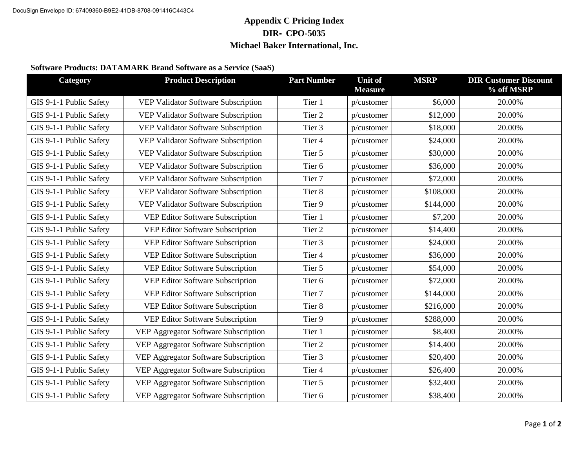# **Michael Baker**

### **INTERNATIONAL**

### **DATAMARKS Warranty Policies and Pricing**

Termination. Either party may terminate the Agreement immediately upon a material breach by the other party that has not been cured within thirty (30) days after receipt of notice of such breach.

Indemnification by DATAMARK. If a third party makes a claim against Customer that the Services infringe any patent, copyright or trademark, or misappropriates any trade secret, DATAMARK shall defend Customer and its directors, officers and employees against the claim at DATAMARK's expense and DATAMARK shall pay all losses, damages and expenses (including reasonable attorneys' fees) finally awarded against such parties or agreed to in a written settlement agreement signed by DATAMARK, to the extent arising from the claim. DATAMARK shall have no liability, duty to defend, or indemnify for any claim based on (a) the Customer Content, (b) modification of the DATAMARK Agreement not authorized by DATAMARK, or (c) use of the DATAMARK Agreement other than in accordance with the Documentation and the Agreement. DATAMARK may, at its sole option and expense, procure for Customer the right to continue use of the Agreement Services, modify the Agreement Services in a manner that does not materially impair the functionality, or terminate the Subscription Term and repay to Customer any amount paid by Customer with respect to the Subscription Term following the termination date.

Indemnification by Customer. If a third party makes a claim against DATAMARK that the Customer Content infringes any patent, copyright or trademark, or misappropriates any trade secret, Customer shall defend DATAMARK and its directors, officers and employees against the claim at Customer's expense and Customer shall pay all losses, damages and expenses (including reasonable attorneys' fees) finally awarded against such parties or agreed to in a written settlement agreement signed by Customer, to the extent arising from the claim. Customer shall defend and indemnify DATAMARK for any claim based on (a) the Customer Content, (b) modification of the DATAMARK Agreement not authorized by DATAMARK, or (c) use of DATAMARK Agreement other than in accordance with the Documentation and the Agreement.

Confidentiality. During the term of the Agreement and for 5 years thereafter, each party shall treat as confidential all Confidential Information of the other party, shall not use such Confidential Information except to exercise its rights and perform its obligations under the Agreement, and shall not disclose such Confidential Information to any third party. Without limiting the foregoing, each party shall use at least the same degree of care, but not less than a reasonable degree of care, it uses to prevent the disclosure of its own confidential information to prevent the disclosure of Confidential Information of the other party. Each party shall promptly notify the other party of any actual or suspected misuse or unauthorized disclosure of the other party's Confidential Information. Neither party shall reverse engineer, disassemble or decompile any prototypes, software or other tangible objects which embody the other party's Confidential Information, and which are provided to the party hereunder. Each party may disclose Confidential Information of the other party on a need-to-know basis to its contractors who are subject to confidentiality agreements requiring them to maintain such information in confidence and use it only to facilitate the performance of their services on behalf of the receiving party.

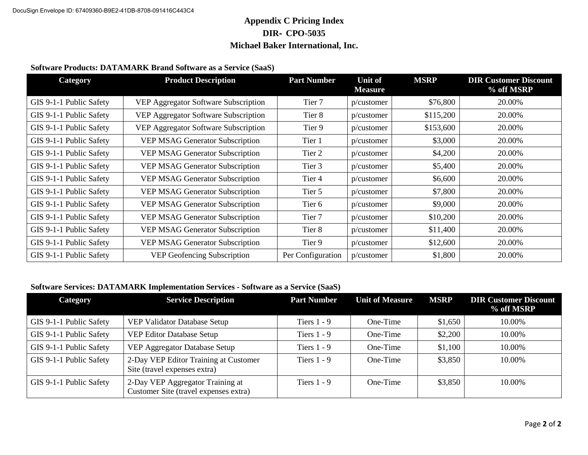# **Michael Baker**

## **INTERNATIONAL**

Notices. Except as otherwise permitted in the Agreement, notices under the Agreement shall be in writing and shall be deemed to have been given (a) five (5) business days after mailing if sent by registered or certified U.S. mail, (b) when transmitted if sent by facsimile or email, provided that a copy of the notice is promptly sent by another means specified in this section, or (c) when delivered if delivered personally or sent by express courier service. All notices shall be sent to:

ATTN: Jason Bivens, Vice President of DATAMARK Michael Baker International, Inc. 5 Hutton Centre Drive #500 Santa Ana, CA 92707

Governing Law. If there is any dispute concerning this agreement, the laws of the Customer's state will rule if required by customer's funding or legal policy. Otherwise, the Agreement is governed by and construed in accordance with the internal laws of the State of Texas without giving effect to any choice or conflict of law provision or rule that would require or permit the application of the laws of any jurisdiction other than those of the State of Texas.

## **Contact Information:**

For specific questions please contact:

| Contract Information: | Shannon Dyer    | Shannon.Dyer@mbakerintl.com    |
|-----------------------|-----------------|--------------------------------|
| Pricing Information:  | Dustin Becker   | Dustin.Backer@mbakerintl.com   |
| Project Management:   | Kirby Kissinger | Kirby.Kissinger@mbakerintl.com |